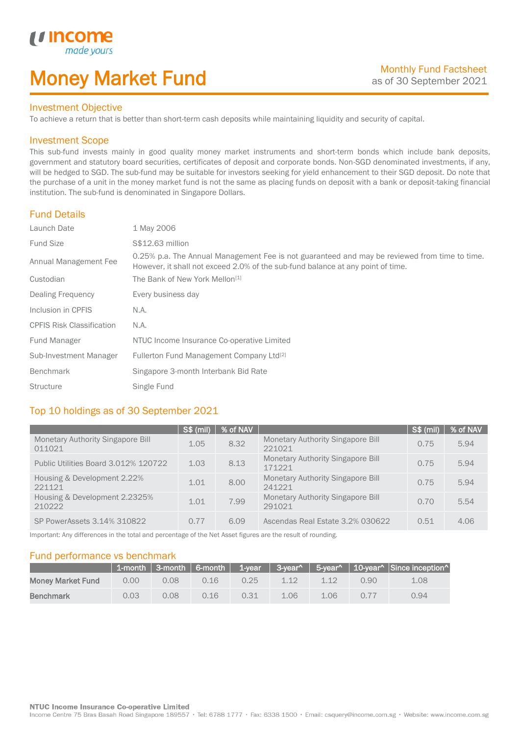## Money Market Fund

#### Investment Objective

made y

*u* incom

I

To achieve a return that is better than short-term cash deposits while maintaining liquidity and security of capital.

#### Investment Scope

This sub-fund invests mainly in good quality money market instruments and short-term bonds which include bank deposits, government and statutory board securities, certificates of deposit and corporate bonds. Non-SGD denominated investments, if any, will be hedged to SGD. The sub-fund may be suitable for investors seeking for yield enhancement to their SGD deposit. Do note that the purchase of a unit in the money market fund is not the same as placing funds on deposit with a bank or deposit-taking financial institution. The sub-fund is denominated in Singapore Dollars.

#### Fund Details

| Launch Date                      | 1 May 2006                                                                                                                                                                       |
|----------------------------------|----------------------------------------------------------------------------------------------------------------------------------------------------------------------------------|
| <b>Fund Size</b>                 | S\$12.63 million                                                                                                                                                                 |
| Annual Management Fee            | 0.25% p.a. The Annual Management Fee is not guaranteed and may be reviewed from time to time.<br>However, it shall not exceed 2.0% of the sub-fund balance at any point of time. |
| Custodian                        | The Bank of New York Mellon <sup>[1]</sup>                                                                                                                                       |
| Dealing Frequency                | Every business day                                                                                                                                                               |
| Inclusion in CPFIS               | N.A.                                                                                                                                                                             |
| <b>CPFIS Risk Classification</b> | N.A.                                                                                                                                                                             |
| Fund Manager                     | NTUC Income Insurance Co-operative Limited                                                                                                                                       |
| Sub-Investment Manager           | Fullerton Fund Management Company Ltd <sup>[2]</sup>                                                                                                                             |
| <b>Benchmark</b>                 | Singapore 3-month Interbank Bid Rate                                                                                                                                             |
| <b>Structure</b>                 | Single Fund                                                                                                                                                                      |

#### Top 10 holdings as of 30 September 2021

|                                             | <b>S\$ (mil)</b> | % of NAV |                                                    | S\$ (mil) | % of NAV |
|---------------------------------------------|------------------|----------|----------------------------------------------------|-----------|----------|
| Monetary Authority Singapore Bill<br>011021 | 1.05             | 8.32     | <b>Monetary Authority Singapore Bill</b><br>221021 | 0.75      | 5.94     |
| Public Utilities Board 3.012% 120722        | 1.03             | 8.13     | <b>Monetary Authority Singapore Bill</b><br>171221 | 0.75      | 5.94     |
| Housing & Development 2.22%<br>221121       | 1.01             | 8.00     | <b>Monetary Authority Singapore Bill</b><br>241221 | 0.75      | 5.94     |
| Housing & Development 2.2325%<br>210222     | 1.01             | 7.99     | <b>Monetary Authority Singapore Bill</b><br>291021 | 0.70      | 5.54     |
| SP PowerAssets 3.14% 310822                 | 0.77             | 6.09     | Ascendas Real Estate 3.2% 030622                   | 0.51      | 4.06     |

Important: Any differences in the total and percentage of the Net Asset figures are the result of rounding.

#### Fund performance vs benchmark

|                          |      |      |      |      |      |      |      | 1-month   3-month   6-month   1-year   3-year^   5-year^   10-year^   Since inception^ |
|--------------------------|------|------|------|------|------|------|------|----------------------------------------------------------------------------------------|
| <b>Money Market Fund</b> | 0.00 | 0.08 | 0.16 | 0.25 | 1.12 | 112  | 0.90 | 1.08                                                                                   |
| <b>Benchmark</b>         | 0.03 | 0.08 | 0.16 | 0.31 | 1.06 | 1.06 | 0.77 | 0.94                                                                                   |